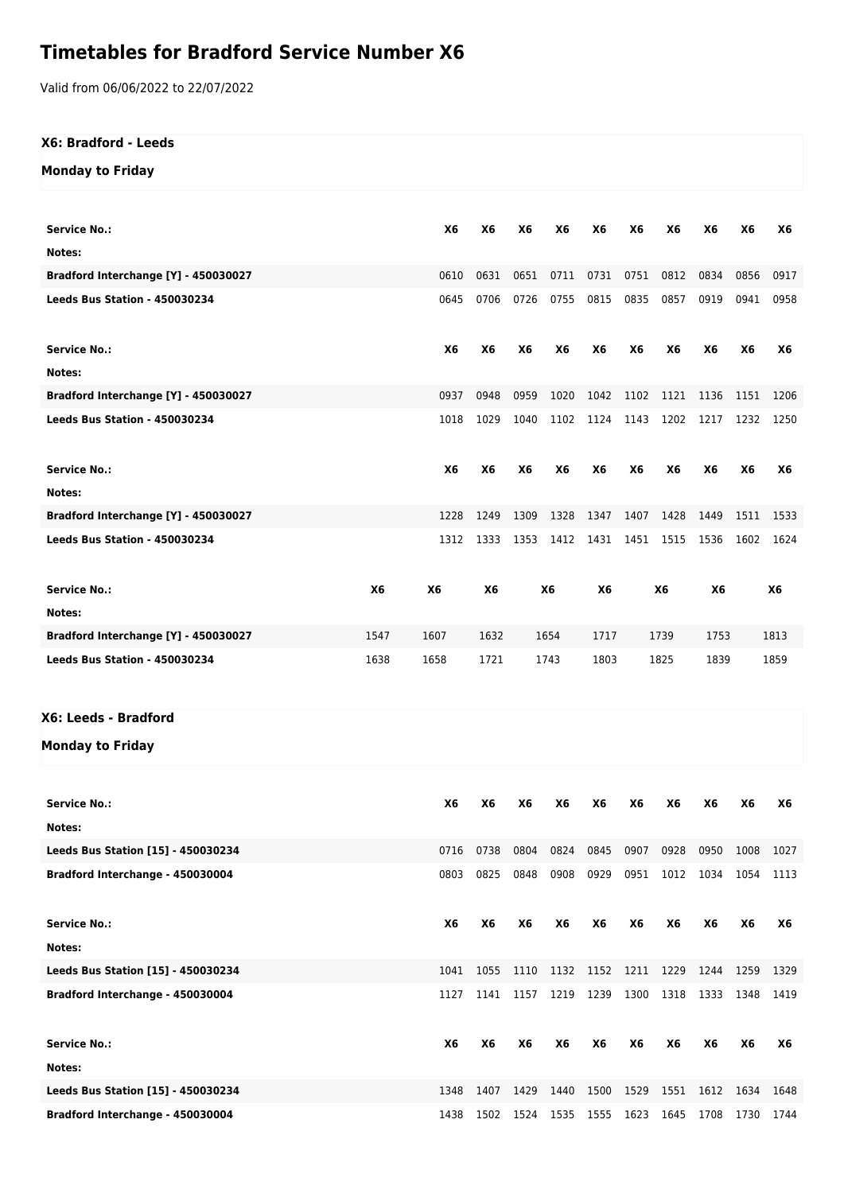## **Timetables for Bradford Service Number X6**

Valid from 06/06/2022 to 22/07/2022

## **X6: Bradford - Leeds**

## **Monday to Friday**

| <b>Service No.:</b>                  |           | <b>X6</b> | <b>X6</b> | <b>X6</b> | <b>X6</b> | <b>X6</b> | <b>X6</b> | <b>X6</b> | <b>X6</b> | <b>X6</b> | <b>X6</b> |
|--------------------------------------|-----------|-----------|-----------|-----------|-----------|-----------|-----------|-----------|-----------|-----------|-----------|
| Notes:                               |           |           |           |           |           |           |           |           |           |           |           |
| Bradford Interchange [Y] - 450030027 |           | 0610      | 0631      | 0651      | 0711      | 0731      | 0751      | 0812      | 0834      | 0856      | 0917      |
| Leeds Bus Station - 450030234        |           | 0645      | 0706      | 0726      | 0755      | 0815      | 0835      | 0857      | 0919      | 0941      | 0958      |
|                                      |           |           |           |           |           |           |           |           |           |           |           |
| <b>Service No.:</b>                  |           | <b>X6</b> | <b>X6</b> | <b>X6</b> | <b>X6</b> | <b>X6</b> | <b>X6</b> | <b>X6</b> | <b>X6</b> | <b>X6</b> | <b>X6</b> |
| Notes:                               |           |           |           |           |           |           |           |           |           |           |           |
| Bradford Interchange [Y] - 450030027 |           | 0937      | 0948      | 0959      | 1020      | 1042      | 1102      | 1121      | 1136      | 1151      | 1206      |
| Leeds Bus Station - 450030234        |           | 1018      | 1029      | 1040      | 1102      | 1124 1143 |           | 1202      | 1217      | 1232      | 1250      |
|                                      |           |           |           |           |           |           |           |           |           |           |           |
|                                      |           |           |           |           |           |           |           |           |           |           |           |
| <b>Service No.:</b>                  |           | <b>X6</b> | <b>X6</b> | <b>X6</b> | <b>X6</b> | <b>X6</b> | <b>X6</b> | <b>X6</b> | <b>X6</b> | <b>X6</b> | <b>X6</b> |
| Notes:                               |           |           |           |           |           |           |           |           |           |           |           |
| Bradford Interchange [Y] - 450030027 |           | 1228      | 1249      | 1309      | 1328      | 1347      | 1407      | 1428      | 1449      | 1511      | 1533      |
| Leeds Bus Station - 450030234        |           | 1312      | 1333      | 1353      | 1412      | 1431      | 1451      | 1515      | 1536      | 1602      | 1624      |
|                                      |           |           |           |           |           |           |           |           |           |           |           |
| <b>Service No.:</b>                  | <b>X6</b> | <b>X6</b> | <b>X6</b> |           | <b>X6</b> | <b>X6</b> |           | <b>X6</b> | <b>X6</b> |           | <b>X6</b> |
| Notes:                               |           |           |           |           |           |           |           |           |           |           |           |
| Bradford Interchange [Y] - 450030027 | 1547      | 1607      | 1632      |           | 1654      | 1717      |           | 1739      | 1753      |           | 1813      |
| Leeds Bus Station - 450030234        | 1638      | 1658      | 1721      |           | 1743      | 1803      |           | 1825      | 1839      |           | 1859      |
|                                      |           |           |           |           |           |           |           |           |           |           |           |

## **X6: Leeds - Bradford**

**Monday to Friday**

| <b>Service No.:</b>                | X6   | <b>X6</b> | <b>X6</b> | <b>X6</b> | <b>X6</b> | <b>X6</b> | <b>X6</b> | <b>X6</b> | <b>X6</b> | <b>X6</b> |
|------------------------------------|------|-----------|-----------|-----------|-----------|-----------|-----------|-----------|-----------|-----------|
| Notes:                             |      |           |           |           |           |           |           |           |           |           |
| Leeds Bus Station [15] - 450030234 | 0716 | 0738      | 0804      | 0824      | 0845      | 0907      | 0928      | 0950      | 1008      | 1027      |
| Bradford Interchange - 450030004   | 0803 | 0825      | 0848      | 0908      | 0929      | 0951      | 1012      | 1034      | 1054      | 1113      |
| Service No.:                       | X6   | <b>X6</b> | <b>X6</b> | <b>X6</b> | <b>X6</b> | X6        | <b>X6</b> | <b>X6</b> | <b>X6</b> | X6        |
| Notes:                             |      |           |           |           |           |           |           |           |           |           |
| Leeds Bus Station [15] - 450030234 | 1041 | 1055      | 1110      | 1132      | 1152      | 1211      | 1229      | 1244      | 1259      | 1329      |
| Bradford Interchange - 450030004   | 1127 | 1141      | 1157      | 1219      | 1239      | 1300      | 1318      | 1333      | 1348      | 1419      |
| <b>Service No.:</b>                | X6   | <b>X6</b> | <b>X6</b> | <b>X6</b> | <b>X6</b> | <b>X6</b> | <b>X6</b> | <b>X6</b> | <b>X6</b> | <b>X6</b> |
| Notes:                             |      |           |           |           |           |           |           |           |           |           |
| Leeds Bus Station [15] - 450030234 | 1348 | 1407      | 1429      | 1440      | 1500      | 1529      | 1551      | 1612      | 1634      | 1648      |
| Bradford Interchange - 450030004   | 1438 | 1502      | 1524      | 1535      | 1555      | 1623      | 1645      | 1708      | 1730      | 1744      |